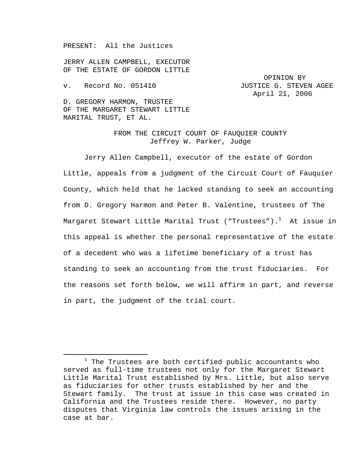PRESENT: All the Justices

JERRY ALLEN CAMPBELL, EXECUTOR OF THE ESTATE OF GORDON LITTLE

OPINION BY v. Record No. 051410 JUSTICE G. STEVEN AGEE April 21, 2006

D. GREGORY HARMON, TRUSTEE OF THE MARGARET STEWART LITTLE MARITAL TRUST, ET AL.

## FROM THE CIRCUIT COURT OF FAUQUIER COUNTY Jeffrey W. Parker, Judge

Jerry Allen Campbell, executor of the estate of Gordon Little, appeals from a judgment of the Circuit Court of Fauquier County, which held that he lacked standing to seek an accounting from D. Gregory Harmon and Peter B. Valentine, trustees of The Margaret Stewart Little Marital Trust ("Trustees"). $^{\rm l}$  At issue in this appeal is whether the personal representative of the estate of a decedent who was a lifetime beneficiary of a trust has standing to seek an accounting from the trust fiduciaries. For the reasons set forth below, we will affirm in part, and reverse in part, the judgment of the trial court.

<sup>&</sup>lt;u>1</u>  $1$  The Trustees are both certified public accountants who served as full-time trustees not only for the Margaret Stewart Little Marital Trust established by Mrs. Little, but also serve as fiduciaries for other trusts established by her and the Stewart family. The trust at issue in this case was created in California and the Trustees reside there. However, no party disputes that Virginia law controls the issues arising in the case at bar.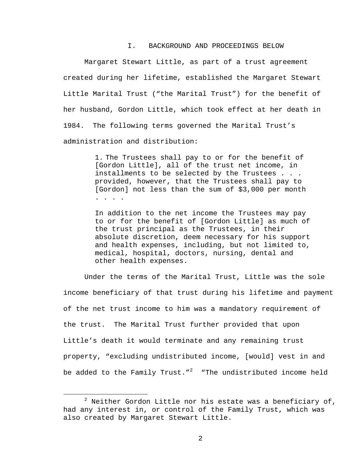## I. BACKGROUND AND PROCEEDINGS BELOW

Margaret Stewart Little, as part of a trust agreement created during her lifetime, established the Margaret Stewart Little Marital Trust ("the Marital Trust") for the benefit of her husband, Gordon Little, which took effect at her death in 1984. The following terms governed the Marital Trust's administration and distribution:

> 1. The Trustees shall pay to or for the benefit of [Gordon Little], all of the trust net income, in installments to be selected by the Trustees . . . provided, however, that the Trustees shall pay to [Gordon] not less than the sum of \$3,000 per month . . . .

In addition to the net income the Trustees may pay to or for the benefit of [Gordon Little] as much of the trust principal as the Trustees, in their absolute discretion, deem necessary for his support and health expenses, including, but not limited to, medical, hospital, doctors, nursing, dental and other health expenses.

Under the terms of the Marital Trust, Little was the sole income beneficiary of that trust during his lifetime and payment of the net trust income to him was a mandatory requirement of the trust. The Marital Trust further provided that upon Little's death it would terminate and any remaining trust property, "excluding undistributed income, [would] vest in and be added to the Family Trust." $^{\,2\,}$  "The undistributed income held

 <sup>2</sup>  $^2$  Neither Gordon Little nor his estate was a beneficiary of, had any interest in, or control of the Family Trust, which was also created by Margaret Stewart Little.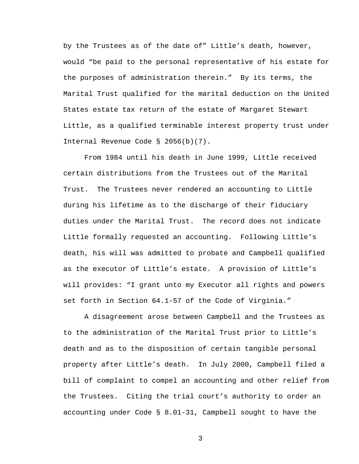by the Trustees as of the date of" Little's death, however, would "be paid to the personal representative of his estate for the purposes of administration therein." By its terms, the Marital Trust qualified for the marital deduction on the United States estate tax return of the estate of Margaret Stewart Little, as a qualified terminable interest property trust under Internal Revenue Code § 2056(b)(7).

From 1984 until his death in June 1999, Little received certain distributions from the Trustees out of the Marital Trust. The Trustees never rendered an accounting to Little during his lifetime as to the discharge of their fiduciary duties under the Marital Trust. The record does not indicate Little formally requested an accounting. Following Little's death, his will was admitted to probate and Campbell qualified as the executor of Little's estate. A provision of Little's will provides: "I grant unto my Executor all rights and powers set forth in Section 64.1-57 of the Code of Virginia."

A disagreement arose between Campbell and the Trustees as to the administration of the Marital Trust prior to Little's death and as to the disposition of certain tangible personal property after Little's death. In July 2000, Campbell filed a bill of complaint to compel an accounting and other relief from the Trustees. Citing the trial court's authority to order an accounting under Code § 8.01-31, Campbell sought to have the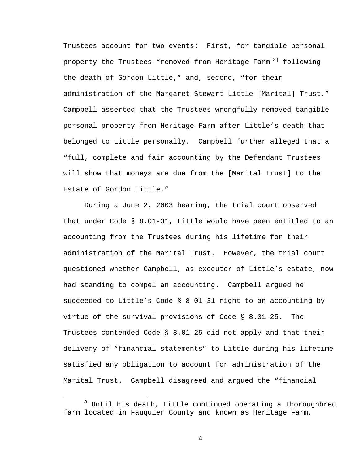Trustees account for two events: First, for tangible personal property the Trustees "removed from Heritage Farm<sup>[3]</sup> following the death of Gordon Little," and, second, "for their administration of the Margaret Stewart Little [Marital] Trust." Campbell asserted that the Trustees wrongfully removed tangible personal property from Heritage Farm after Little's death that belonged to Little personally. Campbell further alleged that a "full, complete and fair accounting by the Defendant Trustees will show that moneys are due from the [Marital Trust] to the Estate of Gordon Little."

 During a June 2, 2003 hearing, the trial court observed that under Code § 8.01-31, Little would have been entitled to an accounting from the Trustees during his lifetime for their administration of the Marital Trust. However, the trial court questioned whether Campbell, as executor of Little's estate, now had standing to compel an accounting. Campbell argued he succeeded to Little's Code § 8.01-31 right to an accounting by virtue of the survival provisions of Code § 8.01-25. The Trustees contended Code § 8.01-25 did not apply and that their delivery of "financial statements" to Little during his lifetime satisfied any obligation to account for administration of the Marital Trust. Campbell disagreed and argued the "financial

 $\overline{\phantom{a}}$  3  $3$  Until his death, Little continued operating a thoroughbred farm located in Fauquier County and known as Heritage Farm,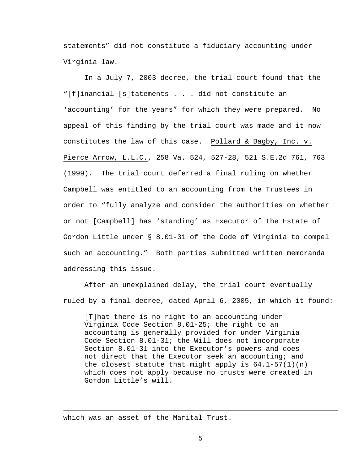statements" did not constitute a fiduciary accounting under Virginia law.

In a July 7, 2003 decree, the trial court found that the "[f]inancial [s]tatements . . . did not constitute an 'accounting' for the years" for which they were prepared. No appeal of this finding by the trial court was made and it now constitutes the law of this case. Pollard & Bagby, Inc. v. Pierce Arrow, L.L.C., 258 Va. 524, 527-28, 521 S.E.2d 761, 763 (1999). The trial court deferred a final ruling on whether Campbell was entitled to an accounting from the Trustees in order to "fully analyze and consider the authorities on whether or not [Campbell] has 'standing' as Executor of the Estate of Gordon Little under § 8.01-31 of the Code of Virginia to compel such an accounting." Both parties submitted written memoranda addressing this issue.

After an unexplained delay, the trial court eventually ruled by a final decree, dated April 6, 2005, in which it found:

[T]hat there is no right to an accounting under Virginia Code Section 8.01-25; the right to an accounting is generally provided for under Virginia Code Section 8.01-31; the Will does not incorporate Section 8.01-31 into the Executor's powers and does not direct that the Executor seek an accounting; and the closest statute that might apply is  $64.1-57(1)(n)$ which does not apply because no trusts were created in Gordon Little's will.

which was an asset of the Marital Trust.

i<br>Li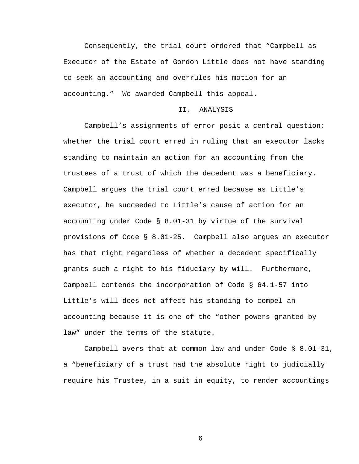Consequently, the trial court ordered that "Campbell as Executor of the Estate of Gordon Little does not have standing to seek an accounting and overrules his motion for an accounting." We awarded Campbell this appeal.

## II. ANALYSIS

Campbell's assignments of error posit a central question: whether the trial court erred in ruling that an executor lacks standing to maintain an action for an accounting from the trustees of a trust of which the decedent was a beneficiary. Campbell argues the trial court erred because as Little's executor, he succeeded to Little's cause of action for an accounting under Code § 8.01-31 by virtue of the survival provisions of Code § 8.01-25. Campbell also argues an executor has that right regardless of whether a decedent specifically grants such a right to his fiduciary by will. Furthermore, Campbell contends the incorporation of Code § 64.1-57 into Little's will does not affect his standing to compel an accounting because it is one of the "other powers granted by law" under the terms of the statute.

Campbell avers that at common law and under Code § 8.01-31, a "beneficiary of a trust had the absolute right to judicially require his Trustee, in a suit in equity, to render accountings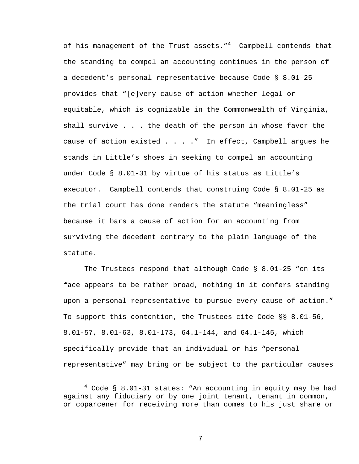of his management of the Trust assets."<sup>4</sup> Campbell contends that the standing to compel an accounting continues in the person of a decedent's personal representative because Code § 8.01-25 provides that "[e]very cause of action whether legal or equitable, which is cognizable in the Commonwealth of Virginia, shall survive . . . the death of the person in whose favor the cause of action existed . . . . " In effect, Campbell argues he stands in Little's shoes in seeking to compel an accounting under Code § 8.01-31 by virtue of his status as Little's executor. Campbell contends that construing Code § 8.01-25 as the trial court has done renders the statute "meaningless" because it bars a cause of action for an accounting from surviving the decedent contrary to the plain language of the statute.

 The Trustees respond that although Code § 8.01-25 "on its face appears to be rather broad, nothing in it confers standing upon a personal representative to pursue every cause of action." To support this contention, the Trustees cite Code §§ 8.01-56, 8.01-57, 8.01-63, 8.01-173, 64.1-144, and 64.1-145, which specifically provide that an individual or his "personal representative" may bring or be subject to the particular causes

 $\overline{4}$  $4$  Code § 8.01-31 states: "An accounting in equity may be had against any fiduciary or by one joint tenant, tenant in common, or coparcener for receiving more than comes to his just share or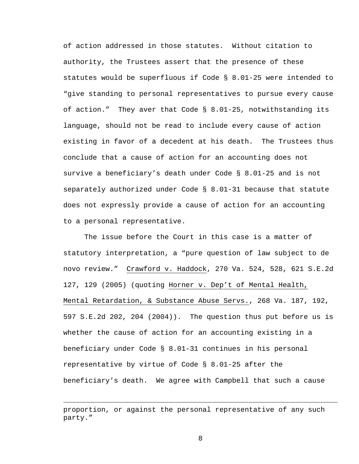of action addressed in those statutes. Without citation to authority, the Trustees assert that the presence of these statutes would be superfluous if Code § 8.01-25 were intended to "give standing to personal representatives to pursue every cause of action." They aver that Code § 8.01-25, notwithstanding its language, should not be read to include every cause of action existing in favor of a decedent at his death. The Trustees thus conclude that a cause of action for an accounting does not survive a beneficiary's death under Code § 8.01-25 and is not separately authorized under Code § 8.01-31 because that statute does not expressly provide a cause of action for an accounting to a personal representative.

 The issue before the Court in this case is a matter of statutory interpretation, a "pure question of law subject to de novo review." Crawford v. Haddock, 270 Va. 524, 528, 621 S.E.2d 127, 129 (2005) (quoting Horner v. Dep't of Mental Health, Mental Retardation, & Substance Abuse Servs., 268 Va. 187, 192, 597 S.E.2d 202, 204 (2004)). The question thus put before us is whether the cause of action for an accounting existing in a beneficiary under Code § 8.01-31 continues in his personal representative by virtue of Code § 8.01-25 after the beneficiary's death. We agree with Campbell that such a cause

i<br>Li

proportion, or against the personal representative of any such party."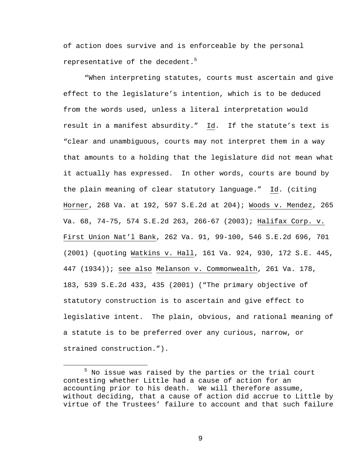of action does survive and is enforceable by the personal representative of the decedent.<sup>5</sup>

"When interpreting statutes, courts must ascertain and give effect to the legislature's intention, which is to be deduced from the words used, unless a literal interpretation would result in a manifest absurdity." Id. If the statute's text is "clear and unambiguous, courts may not interpret them in a way that amounts to a holding that the legislature did not mean what it actually has expressed. In other words, courts are bound by the plain meaning of clear statutory language." Id. (citing Horner, 268 Va. at 192, 597 S.E.2d at 204); Woods v. Mendez, 265 Va. 68, 74-75, 574 S.E.2d 263, 266-67 (2003); Halifax Corp. v. First Union Nat'l Bank, 262 Va. 91, 99-100, 546 S.E.2d 696, 701 (2001) (quoting Watkins v. Hall, 161 Va. 924, 930, 172 S.E. 445, 447 (1934)); see also Melanson v. Commonwealth, 261 Va. 178, 183, 539 S.E.2d 433, 435 (2001) ("The primary objective of statutory construction is to ascertain and give effect to legislative intent. The plain, obvious, and rational meaning of a statute is to be preferred over any curious, narrow, or strained construction.").

 $\frac{1}{5}$  $5$  No issue was raised by the parties or the trial court contesting whether Little had a cause of action for an accounting prior to his death. We will therefore assume, without deciding, that a cause of action did accrue to Little by virtue of the Trustees' failure to account and that such failure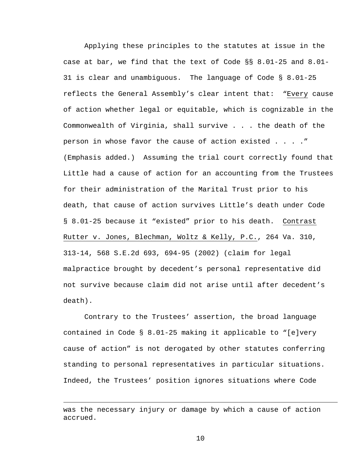Applying these principles to the statutes at issue in the case at bar, we find that the text of Code §§ 8.01-25 and 8.01- 31 is clear and unambiguous. The language of Code § 8.01-25 reflects the General Assembly's clear intent that: "Every cause of action whether legal or equitable, which is cognizable in the Commonwealth of Virginia, shall survive . . . the death of the person in whose favor the cause of action existed . . . ." (Emphasis added.) Assuming the trial court correctly found that Little had a cause of action for an accounting from the Trustees for their administration of the Marital Trust prior to his death, that cause of action survives Little's death under Code § 8.01-25 because it "existed" prior to his death. Contrast Rutter v. Jones, Blechman, Woltz & Kelly, P.C., 264 Va. 310, 313-14, 568 S.E.2d 693, 694-95 (2002) (claim for legal malpractice brought by decedent's personal representative did not survive because claim did not arise until after decedent's death).

Contrary to the Trustees' assertion, the broad language contained in Code § 8.01-25 making it applicable to "[e]very cause of action" is not derogated by other statutes conferring standing to personal representatives in particular situations. Indeed, the Trustees' position ignores situations where Code

i<br>Li

was the necessary injury or damage by which a cause of action accrued.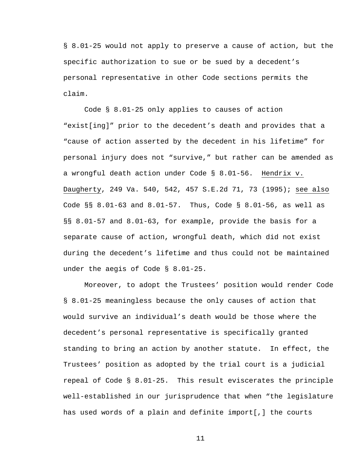§ 8.01-25 would not apply to preserve a cause of action, but the specific authorization to sue or be sued by a decedent's personal representative in other Code sections permits the claim.

Code § 8.01-25 only applies to causes of action "exist[ing]" prior to the decedent's death and provides that a "cause of action asserted by the decedent in his lifetime" for personal injury does not "survive," but rather can be amended as a wrongful death action under Code § 8.01-56. Hendrix v. Daugherty, 249 Va. 540, 542, 457 S.E.2d 71, 73 (1995); see also Code §§ 8.01-63 and 8.01-57. Thus, Code § 8.01-56, as well as §§ 8.01-57 and 8.01-63, for example, provide the basis for a separate cause of action, wrongful death, which did not exist during the decedent's lifetime and thus could not be maintained under the aegis of Code § 8.01-25.

Moreover, to adopt the Trustees' position would render Code § 8.01-25 meaningless because the only causes of action that would survive an individual's death would be those where the decedent's personal representative is specifically granted standing to bring an action by another statute. In effect, the Trustees' position as adopted by the trial court is a judicial repeal of Code § 8.01-25. This result eviscerates the principle well-established in our jurisprudence that when "the legislature has used words of a plain and definite import[,] the courts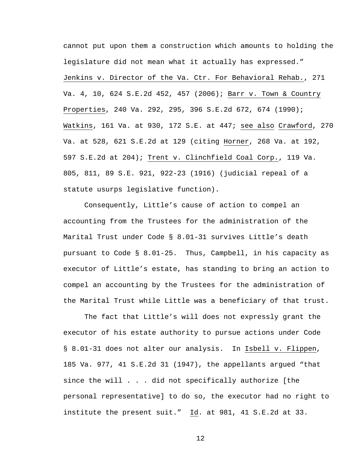cannot put upon them a construction which amounts to holding the legislature did not mean what it actually has expressed." Jenkins v. Director of the Va. Ctr. For Behavioral Rehab., 271 Va. 4, 10, 624 S.E.2d 452, 457 (2006); Barr v. Town & Country Properties, 240 Va. 292, 295, 396 S.E.2d 672, 674 (1990); Watkins, 161 Va. at 930, 172 S.E. at 447; see also Crawford, 270 Va. at 528, 621 S.E.2d at 129 (citing Horner, 268 Va. at 192, 597 S.E.2d at 204); Trent v. Clinchfield Coal Corp., 119 Va. 805, 811, 89 S.E. 921, 922-23 (1916) (judicial repeal of a statute usurps legislative function).

Consequently, Little's cause of action to compel an accounting from the Trustees for the administration of the Marital Trust under Code § 8.01-31 survives Little's death pursuant to Code § 8.01-25. Thus, Campbell, in his capacity as executor of Little's estate, has standing to bring an action to compel an accounting by the Trustees for the administration of the Marital Trust while Little was a beneficiary of that trust.

The fact that Little's will does not expressly grant the executor of his estate authority to pursue actions under Code § 8.01-31 does not alter our analysis. In Isbell v. Flippen, 185 Va. 977, 41 S.E.2d 31 (1947), the appellants argued "that since the will . . . did not specifically authorize [the personal representative] to do so, the executor had no right to institute the present suit." Id. at 981, 41 S.E.2d at 33.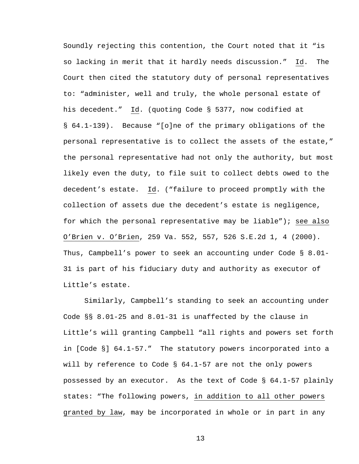Soundly rejecting this contention, the Court noted that it "is so lacking in merit that it hardly needs discussion." Id. The Court then cited the statutory duty of personal representatives to: "administer, well and truly, the whole personal estate of his decedent." Id. (quoting Code § 5377, now codified at § 64.1-139). Because "[o]ne of the primary obligations of the personal representative is to collect the assets of the estate," the personal representative had not only the authority, but most likely even the duty, to file suit to collect debts owed to the decedent's estate. Id. ("failure to proceed promptly with the collection of assets due the decedent's estate is negligence, for which the personal representative may be liable"); see also O'Brien v. O'Brien, 259 Va. 552, 557, 526 S.E.2d 1, 4 (2000). Thus, Campbell's power to seek an accounting under Code § 8.01- 31 is part of his fiduciary duty and authority as executor of Little's estate.

Similarly, Campbell's standing to seek an accounting under Code §§ 8.01-25 and 8.01-31 is unaffected by the clause in Little's will granting Campbell "all rights and powers set forth in [Code §] 64.1-57." The statutory powers incorporated into a will by reference to Code § 64.1-57 are not the only powers possessed by an executor. As the text of Code § 64.1-57 plainly states: "The following powers, in addition to all other powers granted by law, may be incorporated in whole or in part in any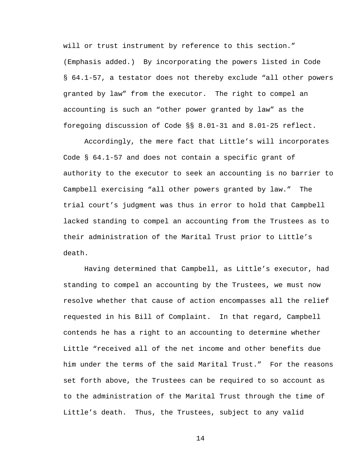will or trust instrument by reference to this section." (Emphasis added.) By incorporating the powers listed in Code § 64.1-57, a testator does not thereby exclude "all other powers granted by law" from the executor. The right to compel an accounting is such an "other power granted by law" as the foregoing discussion of Code §§ 8.01-31 and 8.01-25 reflect.

Accordingly, the mere fact that Little's will incorporates Code § 64.1-57 and does not contain a specific grant of authority to the executor to seek an accounting is no barrier to Campbell exercising "all other powers granted by law." The trial court's judgment was thus in error to hold that Campbell lacked standing to compel an accounting from the Trustees as to their administration of the Marital Trust prior to Little's death.

Having determined that Campbell, as Little's executor, had standing to compel an accounting by the Trustees, we must now resolve whether that cause of action encompasses all the relief requested in his Bill of Complaint. In that regard, Campbell contends he has a right to an accounting to determine whether Little "received all of the net income and other benefits due him under the terms of the said Marital Trust." For the reasons set forth above, the Trustees can be required to so account as to the administration of the Marital Trust through the time of Little's death. Thus, the Trustees, subject to any valid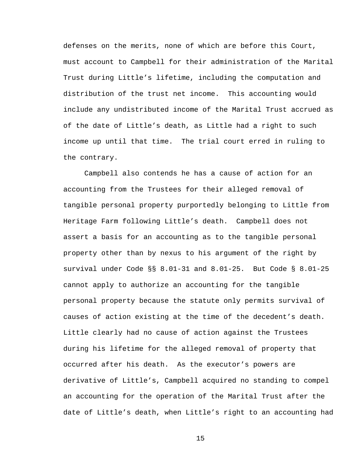defenses on the merits, none of which are before this Court, must account to Campbell for their administration of the Marital Trust during Little's lifetime, including the computation and distribution of the trust net income. This accounting would include any undistributed income of the Marital Trust accrued as of the date of Little's death, as Little had a right to such income up until that time. The trial court erred in ruling to the contrary.

Campbell also contends he has a cause of action for an accounting from the Trustees for their alleged removal of tangible personal property purportedly belonging to Little from Heritage Farm following Little's death. Campbell does not assert a basis for an accounting as to the tangible personal property other than by nexus to his argument of the right by survival under Code §§ 8.01-31 and 8.01-25. But Code § 8.01-25 cannot apply to authorize an accounting for the tangible personal property because the statute only permits survival of causes of action existing at the time of the decedent's death. Little clearly had no cause of action against the Trustees during his lifetime for the alleged removal of property that occurred after his death. As the executor's powers are derivative of Little's, Campbell acquired no standing to compel an accounting for the operation of the Marital Trust after the date of Little's death, when Little's right to an accounting had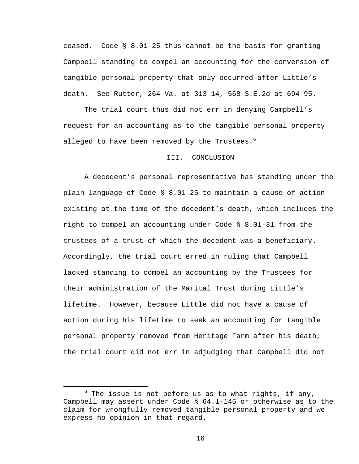ceased. Code § 8.01-25 thus cannot be the basis for granting Campbell standing to compel an accounting for the conversion of tangible personal property that only occurred after Little's death. See Rutter, 264 Va. at 313-14, 568 S.E.2d at 694-95.

The trial court thus did not err in denying Campbell's request for an accounting as to the tangible personal property alleged to have been removed by the Trustees.<sup>6</sup>

## III. CONCLUSION

A decedent's personal representative has standing under the plain language of Code § 8.01-25 to maintain a cause of action existing at the time of the decedent's death, which includes the right to compel an accounting under Code § 8.01-31 from the trustees of a trust of which the decedent was a beneficiary. Accordingly, the trial court erred in ruling that Campbell lacked standing to compel an accounting by the Trustees for their administration of the Marital Trust during Little's lifetime. However, because Little did not have a cause of action during his lifetime to seek an accounting for tangible personal property removed from Heritage Farm after his death, the trial court did not err in adjudging that Campbell did not

 $\overline{6}$  $6$  The issue is not before us as to what rights, if any, Campbell may assert under Code § 64.1-145 or otherwise as to the claim for wrongfully removed tangible personal property and we express no opinion in that regard.